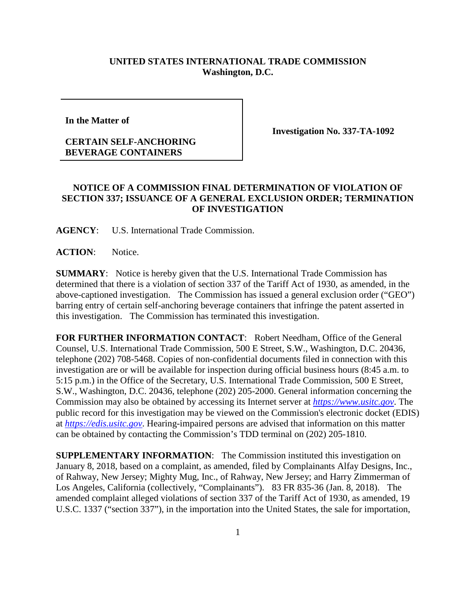## **UNITED STATES INTERNATIONAL TRADE COMMISSION Washington, D.C.**

**In the Matter of** 

## **CERTAIN SELF-ANCHORING BEVERAGE CONTAINERS**

**Investigation No. 337-TA-1092**

## **NOTICE OF A COMMISSION FINAL DETERMINATION OF VIOLATION OF SECTION 337; ISSUANCE OF A GENERAL EXCLUSION ORDER; TERMINATION OF INVESTIGATION**

**AGENCY**: U.S. International Trade Commission.

**ACTION**: Notice.

**SUMMARY**: Notice is hereby given that the U.S. International Trade Commission has determined that there is a violation of section 337 of the Tariff Act of 1930, as amended, in the above-captioned investigation. The Commission has issued a general exclusion order ("GEO") barring entry of certain self-anchoring beverage containers that infringe the patent asserted in this investigation. The Commission has terminated this investigation.

**FOR FURTHER INFORMATION CONTACT**: Robert Needham, Office of the General Counsel, U.S. International Trade Commission, 500 E Street, S.W., Washington, D.C. 20436, telephone (202) 708-5468. Copies of non-confidential documents filed in connection with this investigation are or will be available for inspection during official business hours (8:45 a.m. to 5:15 p.m.) in the Office of the Secretary, U.S. International Trade Commission, 500 E Street, S.W., Washington, D.C. 20436, telephone (202) 205-2000. General information concerning the Commission may also be obtained by accessing its Internet server at *[https://www.usitc.gov](https://www.usitc.gov/)*. The public record for this investigation may be viewed on the Commission's electronic docket (EDIS) at *[https://edis.usitc.gov](https://edis.usitc.gov/)*. Hearing-impaired persons are advised that information on this matter can be obtained by contacting the Commission's TDD terminal on (202) 205-1810.

**SUPPLEMENTARY INFORMATION:** The Commission instituted this investigation on January 8, 2018, based on a complaint, as amended, filed by Complainants Alfay Designs, Inc., of Rahway, New Jersey; Mighty Mug, Inc., of Rahway, New Jersey; and Harry Zimmerman of Los Angeles, California (collectively, "Complainants"). 83 FR 835-36 (Jan. 8, 2018). The amended complaint alleged violations of section 337 of the Tariff Act of 1930, as amended, 19 U.S.C. 1337 ("section 337"), in the importation into the United States, the sale for importation,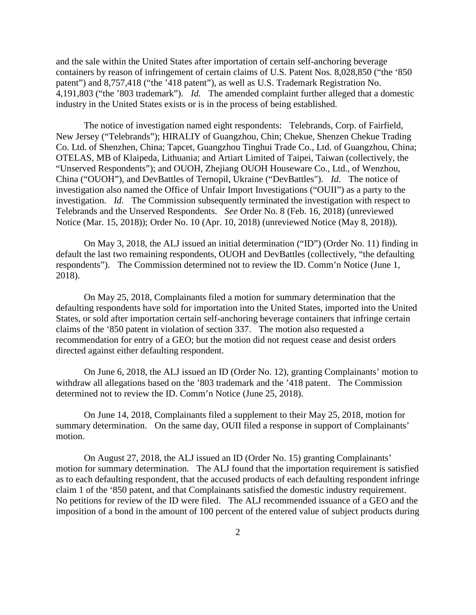and the sale within the United States after importation of certain self-anchoring beverage containers by reason of infringement of certain claims of U.S. Patent Nos. 8,028,850 ("the '850 patent") and 8,757,418 ("the '418 patent"), as well as U.S. Trademark Registration No. 4,191,803 ("the '803 trademark"). *Id.* The amended complaint further alleged that a domestic industry in the United States exists or is in the process of being established.

The notice of investigation named eight respondents: Telebrands, Corp. of Fairfield, New Jersey ("Telebrands"); HIRALIY of Guangzhou, Chin; Chekue, Shenzen Chekue Trading Co. Ltd. of Shenzhen, China; Tapcet, Guangzhou Tinghui Trade Co., Ltd. of Guangzhou, China; OTELAS, MB of Klaipeda, Lithuania; and Artiart Limited of Taipei, Taiwan (collectively, the "Unserved Respondents"); and OUOH, Zhejiang OUOH Houseware Co., Ltd., of Wenzhou, China ("OUOH"), and DevBattles of Ternopil, Ukraine ("DevBattles"). *Id.* The notice of investigation also named the Office of Unfair Import Investigations ("OUII") as a party to the investigation. *Id.* The Commission subsequently terminated the investigation with respect to Telebrands and the Unserved Respondents. *See* Order No. 8 (Feb. 16, 2018) (unreviewed Notice (Mar. 15, 2018)); Order No. 10 (Apr. 10, 2018) (unreviewed Notice (May 8, 2018)).

On May 3, 2018, the ALJ issued an initial determination ("ID") (Order No. 11) finding in default the last two remaining respondents, OUOH and DevBattles (collectively, "the defaulting respondents"). The Commission determined not to review the ID. Comm'n Notice (June 1, 2018).

On May 25, 2018, Complainants filed a motion for summary determination that the defaulting respondents have sold for importation into the United States, imported into the United States, or sold after importation certain self-anchoring beverage containers that infringe certain claims of the '850 patent in violation of section 337. The motion also requested a recommendation for entry of a GEO; but the motion did not request cease and desist orders directed against either defaulting respondent.

On June 6, 2018, the ALJ issued an ID (Order No. 12), granting Complainants' motion to withdraw all allegations based on the '803 trademark and the '418 patent. The Commission determined not to review the ID. Comm'n Notice (June 25, 2018).

On June 14, 2018, Complainants filed a supplement to their May 25, 2018, motion for summary determination. On the same day, OUII filed a response in support of Complainants' motion.

On August 27, 2018, the ALJ issued an ID (Order No. 15) granting Complainants' motion for summary determination. The ALJ found that the importation requirement is satisfied as to each defaulting respondent, that the accused products of each defaulting respondent infringe claim 1 of the '850 patent, and that Complainants satisfied the domestic industry requirement. No petitions for review of the ID were filed. The ALJ recommended issuance of a GEO and the imposition of a bond in the amount of 100 percent of the entered value of subject products during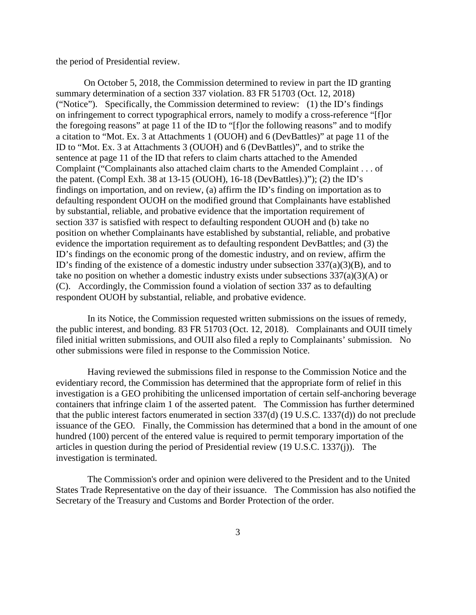the period of Presidential review.

On October 5, 2018, the Commission determined to review in part the ID granting summary determination of a section 337 violation. 83 FR 51703 (Oct. 12, 2018) ("Notice"). Specifically, the Commission determined to review: (1) the ID's findings on infringement to correct typographical errors, namely to modify a cross-reference "[f]or the foregoing reasons" at page 11 of the ID to "[f]or the following reasons" and to modify a citation to "Mot. Ex. 3 at Attachments 1 (OUOH) and 6 (DevBattles)" at page 11 of the ID to "Mot. Ex. 3 at Attachments 3 (OUOH) and 6 (DevBattles)", and to strike the sentence at page 11 of the ID that refers to claim charts attached to the Amended Complaint ("Complainants also attached claim charts to the Amended Complaint . . . of the patent. (Compl Exh. 38 at 13-15 (OUOH), 16-18 (DevBattles).)"); (2) the ID's findings on importation, and on review, (a) affirm the ID's finding on importation as to defaulting respondent OUOH on the modified ground that Complainants have established by substantial, reliable, and probative evidence that the importation requirement of section 337 is satisfied with respect to defaulting respondent OUOH and (b) take no position on whether Complainants have established by substantial, reliable, and probative evidence the importation requirement as to defaulting respondent DevBattles; and (3) the ID's findings on the economic prong of the domestic industry, and on review, affirm the ID's finding of the existence of a domestic industry under subsection 337(a)(3)(B), and to take no position on whether a domestic industry exists under subsections  $337(a)(3)(A)$  or (C). Accordingly, the Commission found a violation of section 337 as to defaulting respondent OUOH by substantial, reliable, and probative evidence.

In its Notice, the Commission requested written submissions on the issues of remedy, the public interest, and bonding. 83 FR 51703 (Oct. 12, 2018). Complainants and OUII timely filed initial written submissions, and OUII also filed a reply to Complainants' submission. No other submissions were filed in response to the Commission Notice.

Having reviewed the submissions filed in response to the Commission Notice and the evidentiary record, the Commission has determined that the appropriate form of relief in this investigation is a GEO prohibiting the unlicensed importation of certain self-anchoring beverage containers that infringe claim 1 of the asserted patent. The Commission has further determined that the public interest factors enumerated in section 337(d) (19 U.S.C. 1337(d)) do not preclude issuance of the GEO. Finally, the Commission has determined that a bond in the amount of one hundred (100) percent of the entered value is required to permit temporary importation of the articles in question during the period of Presidential review (19 U.S.C. 1337(j)). The investigation is terminated.

The Commission's order and opinion were delivered to the President and to the United States Trade Representative on the day of their issuance. The Commission has also notified the Secretary of the Treasury and Customs and Border Protection of the order.